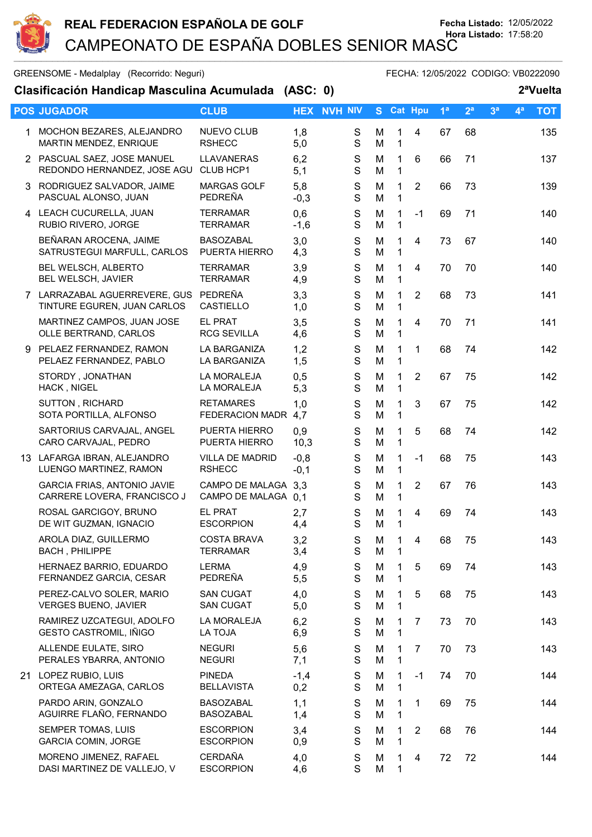

| GREENSOME - Medalplay (Recorrido: Neguri)<br>FECHA: 12/05/2022 CODIGO: VB0222090 |                                                                      |                                            |                  |                              |        |                            |                |                |                |                |                |            |
|----------------------------------------------------------------------------------|----------------------------------------------------------------------|--------------------------------------------|------------------|------------------------------|--------|----------------------------|----------------|----------------|----------------|----------------|----------------|------------|
| Clasificación Handicap Masculina Acumulada (ASC: 0)<br>2 <sup>a</sup> Vuelta     |                                                                      |                                            |                  |                              |        |                            |                |                |                |                |                |            |
|                                                                                  | <b>POS JUGADOR</b>                                                   | <b>CLUB</b>                                |                  | <b>HEX NVH NIV</b>           |        |                            | S Cat Hpu      | 1 <sup>a</sup> | 2 <sup>a</sup> | 3 <sup>a</sup> | 4 <sup>a</sup> | <b>TOT</b> |
| 1.                                                                               | MOCHON BEZARES, ALEJANDRO<br>MARTIN MENDEZ, ENRIQUE                  | <b>NUEVO CLUB</b><br><b>RSHECC</b>         | 1,8<br>5,0       | S<br>$\mathbf S$             | M<br>M | 1<br>$\mathbf{1}$          | $\overline{4}$ | 67             | 68             |                |                | 135        |
|                                                                                  | 2 PASCUAL SAEZ, JOSE MANUEL<br>REDONDO HERNANDEZ, JOSE AGU           | LLAVANERAS<br>CLUB HCP1                    | 6,2<br>5,1       | S<br>S                       | M<br>M | $\mathbf{1}$<br>1          | 6              | 66             | 71             |                |                | 137        |
|                                                                                  | 3 RODRIGUEZ SALVADOR, JAIME<br>PASCUAL ALONSO, JUAN                  | <b>MARGAS GOLF</b><br>PEDREÑA              | 5,8<br>$-0,3$    | $\mathbf S$<br>$\mathbf S$   | M<br>M | $\mathbf 1$<br>$\mathbf 1$ | $\overline{2}$ | 66             | 73             |                |                | 139        |
|                                                                                  | 4 LEACH CUCURELLA, JUAN<br>RUBIO RIVERO, JORGE                       | <b>TERRAMAR</b><br><b>TERRAMAR</b>         | 0,6<br>$-1,6$    | S<br>$\mathbf S$             | M<br>M | $\mathbf{1}$<br>1          | $-1$           | 69             | 71             |                |                | 140        |
|                                                                                  | BEÑARAN AROCENA, JAIME<br>SATRUSTEGUI MARFULL, CARLOS                | <b>BASOZABAL</b><br>PUERTA HIERRO          | 3,0<br>4,3       | $\mathbf S$<br>S             | M<br>M | 1<br>1                     | $\overline{4}$ | 73             | 67             |                |                | 140        |
|                                                                                  | BEL WELSCH, ALBERTO<br>BEL WELSCH, JAVIER                            | <b>TERRAMAR</b><br><b>TERRAMAR</b>         | 3,9<br>4,9       | $\mathbf S$<br>$\mathbf S$   | M<br>M | $\mathbf 1$<br>$\mathbf 1$ | 4              | 70             | 70             |                |                | 140        |
|                                                                                  | 7 LARRAZABAL AGUERREVERE, GUS PEDREÑA<br>TINTURE EGUREN, JUAN CARLOS | <b>CASTIELLO</b>                           | 3,3<br>1,0       | $\mathsf S$<br>$\mathbf S$   | M<br>M | 1<br>$\mathbf 1$           | $\overline{2}$ | 68             | 73             |                |                | 141        |
|                                                                                  | MARTINEZ CAMPOS, JUAN JOSE<br>OLLE BERTRAND, CARLOS                  | <b>EL PRAT</b><br><b>RCG SEVILLA</b>       | 3,5<br>4,6       | $\mathbf S$<br>S             | M<br>M | $\mathbf 1$<br>1           | 4              | 70             | 71             |                |                | 141        |
|                                                                                  | 9 PELAEZ FERNANDEZ, RAMON<br>PELAEZ FERNANDEZ, PABLO                 | LA BARGANIZA<br>LA BARGANIZA               | 1,2<br>1,5       | $\mathbf S$<br>$\mathbf S$   | M<br>M | 1<br>1                     | $\mathbf 1$    | 68             | 74             |                |                | 142        |
|                                                                                  | STORDY, JONATHAN<br>HACK, NIGEL                                      | LA MORALEJA<br>LA MORALEJA                 | 0,5<br>5,3       | ${\mathsf S}$<br>$\mathbf S$ | M<br>M | 1<br>1                     | $\overline{2}$ | 67             | 75             |                |                | 142        |
|                                                                                  | SUTTON, RICHARD<br>SOTA PORTILLA, ALFONSO                            | <b>RETAMARES</b><br>FEDERACION MADR        | 1,0<br>4,7       | $\mathsf S$<br>S             | M<br>M | 1<br>1                     | 3              | 67             | 75             |                |                | 142        |
|                                                                                  | SARTORIUS CARVAJAL, ANGEL<br>CARO CARVAJAL, PEDRO                    | PUERTA HIERRO<br>PUERTA HIERRO             | 0,9<br>10,3      | $\mathbf S$<br>S             | M<br>M | 1<br>1                     | 5              | 68             | 74             |                |                | 142        |
|                                                                                  | 13 LAFARGA IBRAN, ALEJANDRO<br>LUENGO MARTINEZ, RAMON                | <b>VILLA DE MADRID</b><br><b>RSHECC</b>    | $-0,8$<br>$-0,1$ | S<br>$\mathbf S$             | M<br>M | 1<br>1                     | $-1$           | 68             | 75             |                |                | 143        |
|                                                                                  | <b>GARCIA FRIAS, ANTONIO JAVIE</b><br>CARRERE LOVERA, FRANCISCO J    | CAMPO DE MALAGA 3,3<br>CAMPO DE MALAGA 0,1 |                  | $\mathbf S$<br>$\mathsf{S}$  | M<br>M | $\mathbf 1$<br>1           | $\overline{2}$ | 67             | 76             |                |                | 143        |
|                                                                                  | ROSAL GARCIGOY, BRUNO<br>DE WIT GUZMAN, IGNACIO                      | EL PRAT<br><b>ESCORPION</b>                | 2,7<br>4,4       | S<br>S                       | M<br>M | 1<br>1                     | 4              | 69             | 74             |                |                | 143        |
|                                                                                  | AROLA DIAZ, GUILLERMO<br><b>BACH, PHILIPPE</b>                       | <b>COSTA BRAVA</b><br><b>TERRAMAR</b>      | 3,2<br>3,4       | $\mathbf S$<br>$\mathbf S$   | M<br>M | 1<br>1                     | 4              | 68             | 75             |                |                | 143        |
|                                                                                  | HERNAEZ BARRIO, EDUARDO<br>FERNANDEZ GARCIA, CESAR                   | <b>LERMA</b><br>PEDREÑA                    | 4,9<br>5,5       | ${\mathsf S}$<br>S           | M<br>M | 1<br>1                     | 5              | 69             | 74             |                |                | 143        |
|                                                                                  | PEREZ-CALVO SOLER, MARIO<br><b>VERGES BUENO, JAVIER</b>              | <b>SAN CUGAT</b><br><b>SAN CUGAT</b>       | 4,0<br>5,0       | S<br>$\mathbf S$             | M<br>M | 1<br>1                     | 5              | 68             | 75             |                |                | 143        |
|                                                                                  | RAMIREZ UZCATEGUI, ADOLFO<br>GESTO CASTROMIL, IÑIGO                  | LA MORALEJA<br>LA TOJA                     | 6,2<br>6,9       | S<br>S                       | M<br>M | 1<br>1                     | 7              | 73             | 70             |                |                | 143        |
|                                                                                  | ALLENDE EULATE, SIRO<br>PERALES YBARRA, ANTONIO                      | <b>NEGURI</b><br><b>NEGURI</b>             | 5,6<br>7,1       | S<br>S                       | M<br>M | 1<br>1                     | $\overline{7}$ | 70             | 73             |                |                | 143        |
|                                                                                  | 21 LOPEZ RUBIO, LUIS<br>ORTEGA AMEZAGA, CARLOS                       | <b>PINEDA</b><br><b>BELLAVISTA</b>         | $-1,4$<br>0,2    | S<br>S                       | M<br>M | 1<br>1                     | $-1$           | 74             | 70             |                |                | 144        |
|                                                                                  | PARDO ARIN, GONZALO<br>AGUIRRE FLAÑO, FERNANDO                       | <b>BASOZABAL</b><br><b>BASOZABAL</b>       | 1,1<br>1,4       | S<br>$\mathbf S$             | M<br>M | 1<br>1                     | 1              | 69             | 75             |                |                | 144        |
|                                                                                  | SEMPER TOMAS, LUIS<br><b>GARCIA COMIN, JORGE</b>                     | <b>ESCORPION</b><br><b>ESCORPION</b>       | 3,4<br>0,9       | S<br>S                       | M<br>M | 1<br>$\mathbf 1$           | $\overline{2}$ | 68             | 76             |                |                | 144        |
|                                                                                  | MORENO JIMENEZ, RAFAEL<br>DASI MARTINEZ DE VALLEJO, V                | <b>CERDAÑA</b><br><b>ESCORPION</b>         | 4,0<br>4,6       | ${\mathsf S}$<br>S           | M<br>M | 1<br>1                     | 4              | 72             | 72             |                |                | 144        |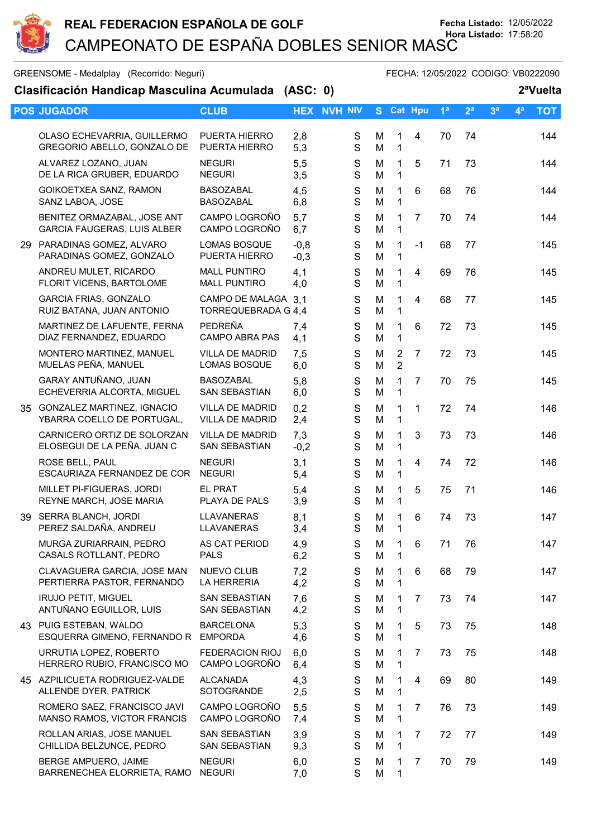

GREENSOME - Medalplay (Recorrido: Neguri) GREENSOME - FECHA: 12/05/2022 CODIGO: VB0222090

| Clasificación Handicap Masculina Acumulada (ASC: 0) |                                                                 |                                            |                  |                              |        |                             |                |                |                | 2 <sup>a</sup> Vuelta |       |            |  |
|-----------------------------------------------------|-----------------------------------------------------------------|--------------------------------------------|------------------|------------------------------|--------|-----------------------------|----------------|----------------|----------------|-----------------------|-------|------------|--|
|                                                     | <b>POS JUGADOR</b>                                              | <b>CLUB</b>                                |                  | <b>HEX NVH NIV</b>           |        |                             | S Cat Hpu      | 1 <sup>a</sup> | 2 <sup>a</sup> | 3 <sup>a</sup>        | $4^a$ | <b>TOT</b> |  |
|                                                     | OLASO ECHEVARRIA, GUILLERMO<br>GREGORIO ABELLO, GONZALO DE      | PUERTA HIERRO<br>PUERTA HIERRO             | 2,8<br>5,3       | S<br>$\mathbf S$             | M<br>M | 1<br>1                      | 4              | 70             | 74             |                       |       | 144        |  |
|                                                     | ALVAREZ LOZANO, JUAN<br>DE LA RICA GRUBER, EDUARDO              | <b>NEGURI</b><br><b>NEGURI</b>             | 5,5<br>3,5       | ${\mathsf S}$<br>S           | M<br>M | 1<br>$\mathbf{1}$           | 5              | 71             | 73             |                       |       | 144        |  |
|                                                     | GOIKOETXEA SANZ, RAMON<br>SANZ LABOA, JOSE                      | <b>BASOZABAL</b><br><b>BASOZABAL</b>       | 4,5<br>6,8       | S<br>S                       | M<br>M | 1<br>1                      | 6              | 68             | 76             |                       |       | 144        |  |
|                                                     | BENITEZ ORMAZABAL, JOSE ANT<br>GARCIA FAUGERAS, LUIS ALBER      | CAMPO LOGROÑO<br>CAMPO LOGROÑO             | 5,7<br>6,7       | S<br>$\mathbf S$             | M<br>M | 1<br>$\mathbf{1}$           | $\overline{7}$ | 70             | 74             |                       |       | 144        |  |
|                                                     | 29 PARADINAS GOMEZ, ALVARO<br>PARADINAS GOMEZ, GONZALO          | <b>LOMAS BOSQUE</b><br>PUERTA HIERRO       | $-0,8$<br>$-0,3$ | $\mathsf S$<br>S             | M<br>M | 1<br>1                      | $-1$           | 68             | 77             |                       |       | 145        |  |
|                                                     | ANDREU MULET, RICARDO<br>FLORIT VICENS, BARTOLOME               | <b>MALL PUNTIRO</b><br><b>MALL PUNTIRO</b> | 4,1<br>4,0       | $\mathsf S$<br>$\mathbf S$   | M<br>M | $\mathbf 1$<br>$\mathbf{1}$ | 4              | 69             | 76             |                       |       | 145        |  |
|                                                     | <b>GARCIA FRIAS, GONZALO</b><br>RUIZ BATANA, JUAN ANTONIO       | CAMPO DE MALAGA 3.1<br>TORREQUEBRADA G 4,4 |                  | ${\mathsf S}$<br>$\mathbf S$ | M<br>M | 1<br>$\mathbf 1$            | 4              | 68             | 77             |                       |       | 145        |  |
|                                                     | MARTINEZ DE LAFUENTE, FERNA<br>DIAZ FERNANDEZ, EDUARDO          | PEDREÑA<br><b>CAMPO ABRA PAS</b>           | 7,4<br>4,1       | $\mathbf S$<br>S             | M<br>M | 1<br>$\mathbf{1}$           | 6              | 72             | 73             |                       |       | 145        |  |
|                                                     | MONTERO MARTINEZ, MANUEL<br>MUELAS PEÑA, MANUEL                 | <b>VILLA DE MADRID</b><br>LOMAS BOSQUE     | 7,5<br>6,0       | $\mathsf S$<br>S             | M<br>M | 2<br>$\overline{2}$         | $\overline{7}$ | 72             | 73             |                       |       | 145        |  |
|                                                     | GARAY ANTUÑANO, JUAN<br>ECHEVERRIA ALCORTA, MIGUEL              | <b>BASOZABAL</b><br>SAN SEBASTIAN          | 5,8<br>6,0       | S<br>$\mathbf S$             | M<br>M | 1<br>1                      | $\overline{7}$ | 70             | 75             |                       |       | 145        |  |
| 35                                                  | <b>GONZALEZ MARTINEZ, IGNACIO</b><br>YBARRA COELLO DE PORTUGAL, | <b>VILLA DE MADRID</b><br>VILLA DE MADRID  | 0,2<br>2,4       | S<br>$\mathbf S$             | M<br>M | 1<br>$\mathbf{1}$           | $\mathbf{1}$   | 72             | 74             |                       |       | 146        |  |
|                                                     | CARNICERO ORTIZ DE SOLORZAN<br>ELOSEGUI DE LA PEÑA, JUAN C      | VILLA DE MADRID<br><b>SAN SEBASTIAN</b>    | 7,3<br>$-0,2$    | $\mathsf S$<br>S             | M<br>M | 1<br>$\mathbf 1$            | 3              | 73             | 73             |                       |       | 146        |  |
|                                                     | ROSE BELL, PAUL<br>ESCAURIAZA FERNANDEZ DE COR                  | <b>NEGURI</b><br><b>NEGURI</b>             | 3,1<br>5,4       | S<br>$\mathbf S$             | M<br>M | $\mathbf 1$<br>$\mathbf{1}$ | $\overline{4}$ | 74             | 72             |                       |       | 146        |  |
|                                                     | MILLET PI-FIGUERAS, JORDI<br>REYNE MARCH, JOSE MARIA            | <b>EL PRAT</b><br>PLAYA DE PALS            | 5,4<br>3,9       | $\mathsf S$<br>$\mathbf S$   | M<br>M | 1<br>$\mathbf 1$            | 5              | 75             | 71             |                       |       | 146        |  |
|                                                     | 39 SERRA BLANCH, JORDI<br>PEREZ SALDAÑA, ANDREU                 | <b>LLAVANERAS</b><br>LLAVANERAS            | 8,1<br>3,4       | $\mathbf S$<br>S             | M<br>M | 1<br>1                      | 6              | 74             | 73             |                       |       | 147        |  |
|                                                     | MURGA ZURIARRAIN, PEDRO<br>CASALS ROTLLANT, PEDRO               | AS CAT PERIOD<br><b>PALS</b>               | 4,9<br>6,2       | S<br>$\mathbf S$             | M<br>M | 1<br>$\mathbf 1$            | 6              | 71             | 76             |                       |       | 147        |  |
|                                                     | CLAVAGUERA GARCIA, JOSE MAN<br>PERTIERRA PASTOR, FERNANDO       | <b>NUEVO CLUB</b><br>LA HERRERIA           | 7,2<br>4,2       | S<br>S                       | M<br>M | 1<br>1                      | 6              | 68             | 79             |                       |       | 147        |  |
|                                                     | <b>IRUJO PETIT, MIGUEL</b><br>ANTUÑANO EGUILLOR, LUIS           | <b>SAN SEBASTIAN</b><br>SAN SEBASTIAN      | 7,6<br>4,2       | $\mathbf S$<br>S             | M<br>M | 1<br>$\mathbf 1$            | 7              | 73             | 74             |                       |       | 147        |  |
|                                                     | 43 PUIG ESTEBAN, WALDO<br>ESQUERRA GIMENO, FERNANDO R           | <b>BARCELONA</b><br><b>EMPORDA</b>         | 5,3<br>4,6       | S<br>S                       | M<br>M | 1<br>1                      | 5              | 73             | 75             |                       |       | 148        |  |
|                                                     | URRUTIA LOPEZ, ROBERTO<br>HERRERO RUBIO, FRANCISCO MO           | <b>FEDERACION RIOJ</b><br>CAMPO LOGROÑO    | 6,0<br>6,4       | $\mathbf S$<br>$\mathbf S$   | M<br>M | 1<br>$\mathbf 1$            | 7              | 73             | 75             |                       |       | 148        |  |
|                                                     | 45 AZPILICUETA RODRIGUEZ-VALDE<br>ALLENDE DYER, PATRICK         | <b>ALCANADA</b><br>SOTOGRANDE              | 4,3<br>2,5       | $\mathsf S$<br>$\mathbf S$   | M<br>M | 1<br>1                      | 4              | 69             | 80             |                       |       | 149        |  |
|                                                     | ROMERO SAEZ, FRANCISCO JAVI<br>MANSO RAMOS, VICTOR FRANCIS      | CAMPO LOGROÑO<br>CAMPO LOGROÑO             | 5,5<br>7,4       | S<br>$\mathbf S$             | M<br>M | 1<br>1                      | 7              | 76             | 73             |                       |       | 149        |  |
|                                                     | ROLLAN ARIAS, JOSE MANUEL<br>CHILLIDA BELZUNCE, PEDRO           | <b>SAN SEBASTIAN</b><br>SAN SEBASTIAN      | 3,9<br>9,3       | ${\mathsf S}$<br>$\mathbf S$ | M<br>M | 1<br>$\mathbf{1}$           | 7              | 72             | 77             |                       |       | 149        |  |
|                                                     | BERGE AMPUERO, JAIME<br>BARRENECHEA ELORRIETA, RAMO             | <b>NEGURI</b><br><b>NEGURI</b>             | 6,0<br>7,0       | $\mathbf S$<br>S             | M<br>M | 1<br>1                      | 7              | 70             | 79             |                       |       | 149        |  |